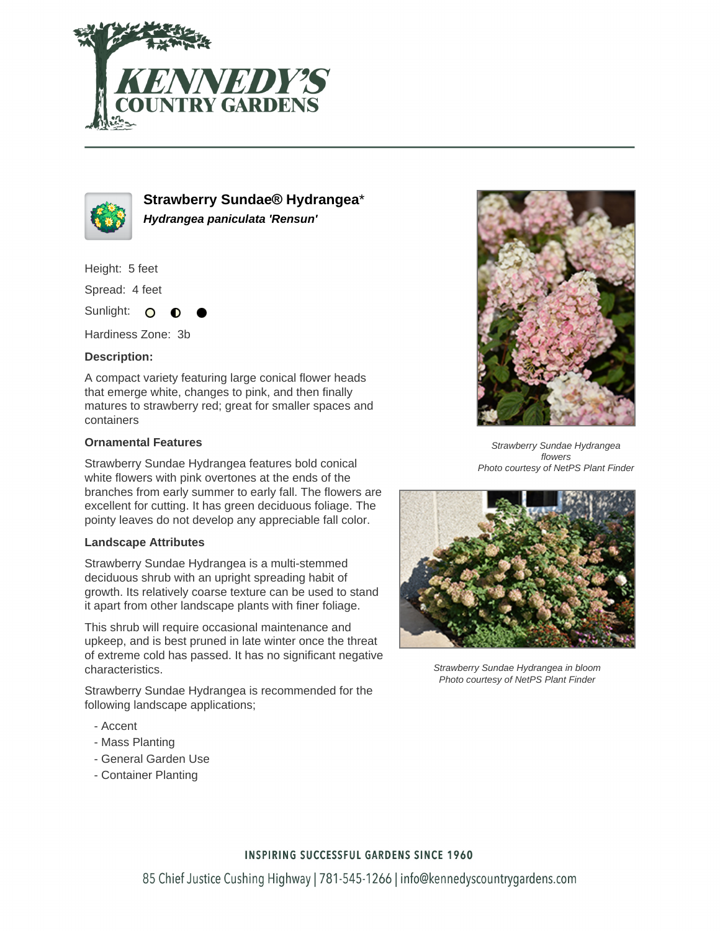



**Strawberry Sundae® Hydrangea**\* **Hydrangea paniculata 'Rensun'**

Height: 5 feet

Spread: 4 feet

Sunlight: O

Hardiness Zone: 3b

## **Description:**

A compact variety featuring large conical flower heads that emerge white, changes to pink, and then finally matures to strawberry red; great for smaller spaces and containers

## **Ornamental Features**

Strawberry Sundae Hydrangea features bold conical white flowers with pink overtones at the ends of the branches from early summer to early fall. The flowers are excellent for cutting. It has green deciduous foliage. The pointy leaves do not develop any appreciable fall color.

#### **Landscape Attributes**

Strawberry Sundae Hydrangea is a multi-stemmed deciduous shrub with an upright spreading habit of growth. Its relatively coarse texture can be used to stand it apart from other landscape plants with finer foliage.

This shrub will require occasional maintenance and upkeep, and is best pruned in late winter once the threat of extreme cold has passed. It has no significant negative characteristics.

Strawberry Sundae Hydrangea is recommended for the following landscape applications;

- Accent
- Mass Planting
- General Garden Use
- Container Planting



Strawberry Sundae Hydrangea flowers Photo courtesy of NetPS Plant Finder



Strawberry Sundae Hydrangea in bloom Photo courtesy of NetPS Plant Finder

# **INSPIRING SUCCESSFUL GARDENS SINCE 1960**